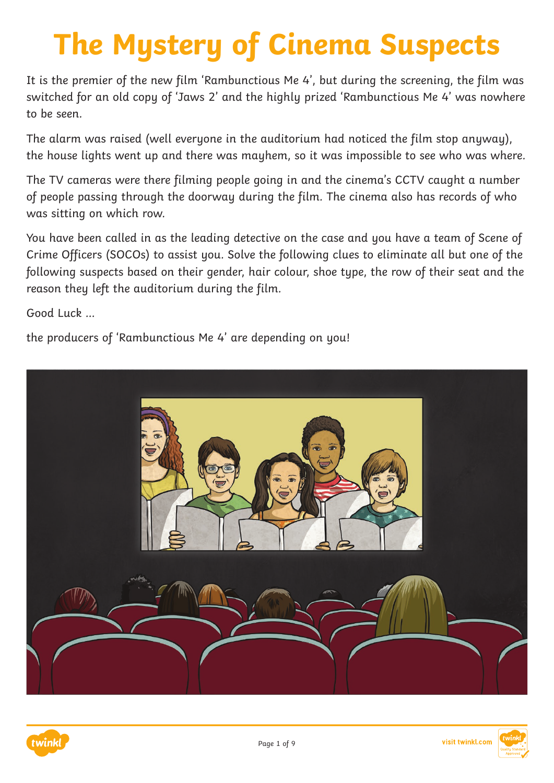It is the premier of the new film 'Rambunctious Me 4', but during the screening, the film was switched for an old copy of 'Jaws 2' and the highly prized 'Rambunctious Me 4' was nowhere to be seen.

The alarm was raised (well everyone in the auditorium had noticed the film stop anyway), the house lights went up and there was mayhem, so it was impossible to see who was where.

The TV cameras were there filming people going in and the cinema's CCTV caught a number of people passing through the doorway during the film. The cinema also has records of who was sitting on which row.

You have been called in as the leading detective on the case and you have a team of Scene of Crime Officers (SOCOs) to assist you. Solve the following clues to eliminate all but one of the following suspects based on their gender, hair colour, shoe type, the row of their seat and the reason they left the auditorium during the film.

Good Luck …

the producers of 'Rambunctious Me 4' are depending on you!





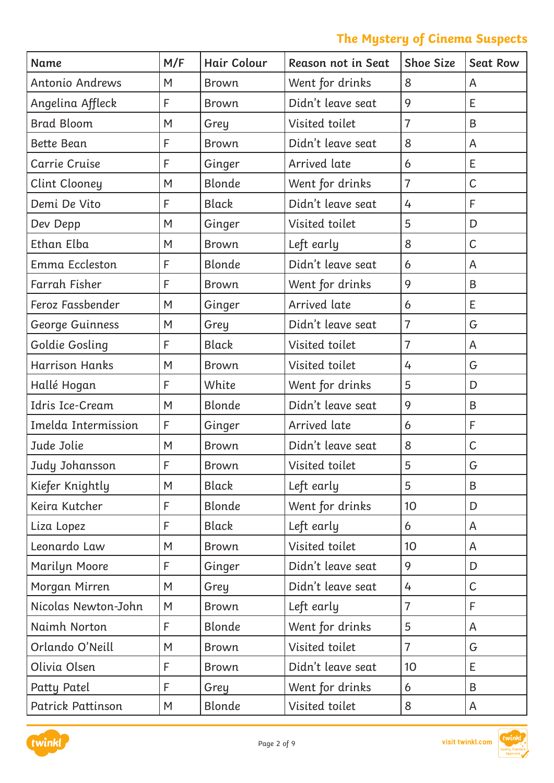| <b>Name</b>            | M/F<br>Hair Colour |               | Reason not in Seat | <b>Shoe Size</b> | <b>Seat Row</b> |
|------------------------|--------------------|---------------|--------------------|------------------|-----------------|
| Antonio Andrews        | M                  | <b>Brown</b>  | Went for drinks    | 8                | A               |
| Angelina Affleck       | F                  | <b>Brown</b>  | Didn't leave seat  | 9                | E               |
| <b>Brad Bloom</b>      | M                  | Grey          | Visited toilet     | $\overline{7}$   | B               |
| Bette Bean             | F                  | <b>Brown</b>  | Didn't leave seat  | 8                | A               |
| Carrie Cruise          | $\mathsf F$        | Ginger        | Arrived late       | 6                | E               |
| <b>Clint Clooney</b>   | M                  | <b>Blonde</b> | Went for drinks    | $\overline{7}$   | $\mathsf C$     |
| Demi De Vito           | F                  | <b>Black</b>  | Didn't leave seat  | 4                | F               |
| Dev Depp               | M                  | Ginger        | Visited toilet     | 5                | D               |
| Ethan Elba             | M                  | <b>Brown</b>  | Left early         | 8                | $\mathsf C$     |
| Emma Eccleston         | F                  | <b>Blonde</b> | Didn't leave seat  | 6                | A               |
| Farrah Fisher          | F                  | <b>Brown</b>  | Went for drinks    | 9                | B               |
| Feroz Fassbender       | M                  | Ginger        | Arrived late       | 6                | E               |
| George Guinness        | M                  | Grey          | Didn't leave seat  | $\overline{7}$   | G               |
| Goldie Gosling         | F                  | <b>Black</b>  | Visited toilet     | $\overline{7}$   | A               |
| <b>Harrison Hanks</b>  | M                  | <b>Brown</b>  | Visited toilet     | 4                | G               |
| Hallé Hogan            | F                  | White         | Went for drinks    | 5                | D               |
| Idris Ice-Cream        | M                  | <b>Blonde</b> | Didn't leave seat  | 9                | B               |
| Imelda Intermission    | F                  | Ginger        | Arrived late       | 6                | F               |
| Jude Jolie             | M                  | <b>Brown</b>  | Didn't leave seat  | 8                | $\mathsf C$     |
| Judy Johansson         | F                  | <b>Brown</b>  | Visited toilet     | 5                | G               |
| Kiefer Knightly        | M                  | <b>Black</b>  | Left early         | 5                | B               |
| Keira Kutcher          | F                  | <b>Blonde</b> | Went for drinks    | 10               | D               |
| Liza Lopez             | $\mathsf F$        | <b>Black</b>  | Left early         | 6                | A               |
| Leonardo Law           | M                  | <b>Brown</b>  | Visited toilet     | 10               | A               |
| Marilyn Moore          | F                  | Ginger        | Didn't leave seat  | 9                | D               |
| Morgan Mirren          | M                  | Grey          | Didn't leave seat  | 4                | $\mathsf C$     |
| Nicolas Newton-John    | M                  | <b>Brown</b>  | Left early         | $\overline{7}$   | F               |
| Naimh Norton           | F                  | Blonde        | Went for drinks    | 5                | A               |
| Orlando O'Neill        | M                  | <b>Brown</b>  | Visited toilet     | $\overline{7}$   | G               |
| Olivia Olsen           | F                  | <b>Brown</b>  | Didn't leave seat  | 10               | E               |
| Patty Patel            | F                  | Grey          | Went for drinks    | 6                | B               |
| Patrick Pattinson<br>M |                    | Blonde        | Visited toilet     | 8                | A               |

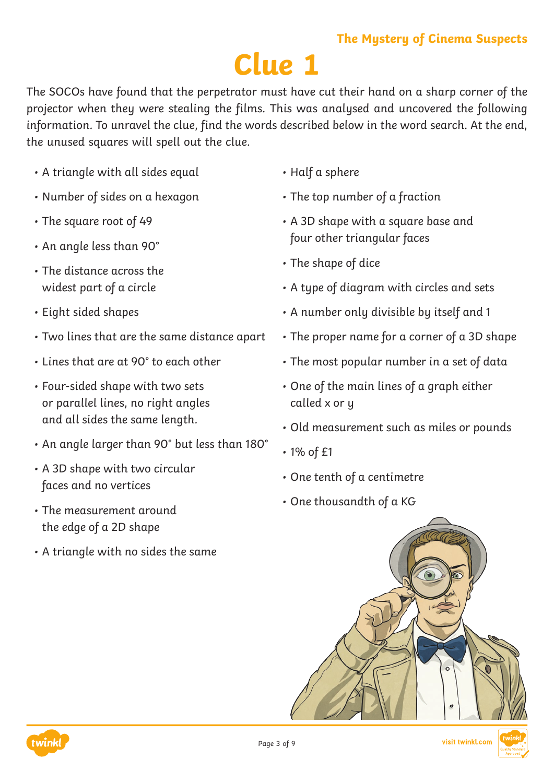# **Clue 1**

The SOCOs have found that the perpetrator must have cut their hand on a sharp corner of the projector when they were stealing the films. This was analysed and uncovered the following information. To unravel the clue, find the words described below in the word search. At the end, the unused squares will spell out the clue.

- A triangle with all sides equal
- Number of sides on a hexagon
- The square root of 49
- An angle less than 90°
- The distance across the widest part of a circle
- Eight sided shapes
- Two lines that are the same distance apart
- Lines that are at 90° to each other
- Four-sided shape with two sets or parallel lines, no right angles and all sides the same length.
- An angle larger than 90° but less than 180°
- A 3D shape with two circular faces and no vertices
- The measurement around the edge of a 2D shape
- A triangle with no sides the same
- Half a sphere
- The top number of a fraction
- A 3D shape with a square base and four other triangular faces
- The shape of dice
- A type of diagram with circles and sets
- A number only divisible by itself and 1
- The proper name for a corner of a 3D shape
- The most popular number in a set of data
- One of the main lines of a graph either called x or u
- Old measurement such as miles or pounds
- 1% of £1
- One tenth of a centimetre
- One thousandth of a KG



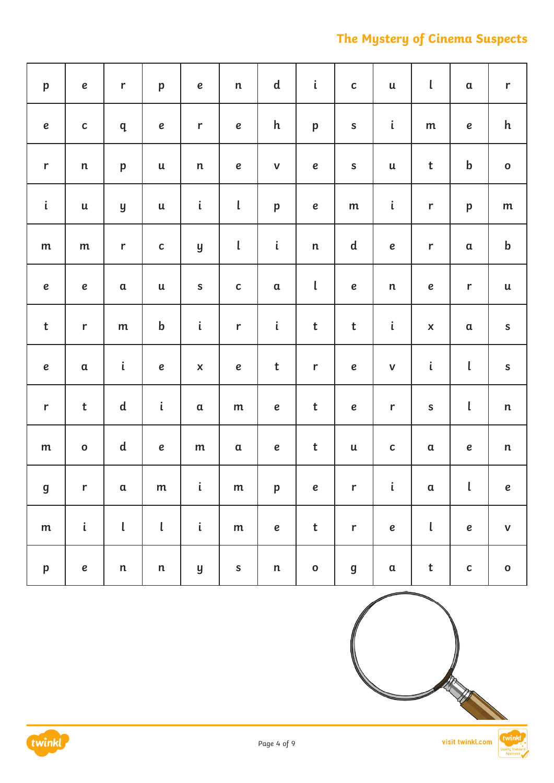| $\boldsymbol{\mathsf{p}}$ | $\pmb{e}$                 | $\mathsf{r}$                                                                              | $\boldsymbol{\mathsf{p}}$ | $\pmb{e}$                 | $\mathsf{n}$  | ${\bf d}$                 | $\mathfrak{i}$            | $\mathbf{C}$     | $\mathbf u$        | $\mathsf{L}$                                                                              | $\mathbf a$                                                                               | $\mathsf{r}$              |
|---------------------------|---------------------------|-------------------------------------------------------------------------------------------|---------------------------|---------------------------|---------------|---------------------------|---------------------------|------------------|--------------------|-------------------------------------------------------------------------------------------|-------------------------------------------------------------------------------------------|---------------------------|
| $\pmb{e}$                 | $\mathbf{C}$              | $\mathbf{q}$                                                                              | $\pmb{e}$                 | $\mathsf{r}$              | $\pmb{e}$     | ${\sf h}$                 | $\boldsymbol{\mathsf{p}}$ | $\mathsf S$      | $\mathfrak{i}$     | ${\mathsf m}$                                                                             | $\pmb{e}$                                                                                 | $\boldsymbol{h}$          |
| $\mathsf{r}$              | $\mathsf{n}$              | $\boldsymbol{\mathsf{p}}$                                                                 | $\ensuremath{\mathsf{u}}$ | $\mathsf n$               | $\pmb{e}$     | $\mathbf V$               | $\pmb{e}$                 | $\mathsf S$      | $\mathsf{u}$       | $\mathbf t$                                                                               | $\mathbf b$                                                                               | $\mathbf 0$               |
| $\mathfrak{i}$            | $\ensuremath{\mathsf{u}}$ | y                                                                                         | $\mathsf u$               | $\mathfrak{i}$            | $\mathsf l$   | $\boldsymbol{\mathsf{p}}$ | $\pmb{e}$                 | ${\mathsf m}$    | $\mathfrak{i}$     | $\mathsf{r}$                                                                              | $\boldsymbol{\mathsf{p}}$                                                                 | ${\mathsf m}$             |
| m                         | ${\bf m}$                 | $\mathsf{r}$                                                                              | $\mathbf{C}$              | $\mathsf y$               | $\mathsf l$   | $\mathfrak{i}$            | $\mathsf{n}$              | ${\bf d}$        | $\pmb{e}$          | $\mathsf{r}$                                                                              | $\mathbf a$                                                                               | $\mathbf b$               |
| $\pmb{e}$                 | $\pmb{e}$                 | $\mathbf a$                                                                               | $\mathsf u$               | $\mathsf{s}$              | $\mathbf{C}$  | $\mathbf a$               | $\mathsf L$               | $\pmb{e}$        | $\mathsf{n}$       | $\pmb{e}$                                                                                 | $\mathbf r$                                                                               | $\ensuremath{\mathsf{u}}$ |
| $\mathbf t$               | $\mathsf{r}$              | ${\mathsf m}$                                                                             | ${\bf b}$                 | $\mathfrak{i}$            | $\mathbf r$   | $\mathfrak{i}$            | $\mathbf t$               | $\mathbf t$      | $\mathfrak{i}$     | $\pmb{\mathsf{X}}$                                                                        | $\mathfrak a$                                                                             | ${\sf S}$                 |
| $\pmb{e}$                 | $\mathbf a$               | $\mathfrak{i}$                                                                            | $\pmb{e}$                 | $\pmb{\times}$            | $\pmb{e}$     | $\mathbf t$               | $\mathsf{r}$              | $\pmb{e}$        | $\pmb{\mathsf{V}}$ | $\mathfrak{i}$                                                                            | $\mathsf L$                                                                               | ${\sf S}$                 |
| $\mathsf{r}$              | $\mathbf t$               | ${\bf d}$                                                                                 | $\mathfrak{i}$            | $\mathfrak a$             | ${\mathsf m}$ | $\pmb{e}$                 | $\mathbf t$               | $\pmb{e}$        | $\mathsf{r}$       | ${\sf S}$                                                                                 | $\mathsf{L}% _{0}\left( \mathcal{N}\right) \equiv\mathsf{L}_{0}\left( \mathcal{N}\right)$ | $\mathsf{n}$              |
| ${\mathsf m}$             | $\mathbf{o}$              | ${\bf d}$                                                                                 | $\pmb{e}$                 | m                         | $\mathfrak a$ | $\pmb{e}$                 | $\mathbf t$               | $\mathsf{u}$     | $\mathbf{C}$       | $\mathbf a$                                                                               | $\pmb{e}$                                                                                 | $\mathsf{n}$              |
| $\boldsymbol{g}$          | r                         | $\mathbf a$                                                                               | ${\mathsf m}$             | $\mathfrak{i}$            | ${\mathsf m}$ | $\boldsymbol{\mathsf{p}}$ | $\pmb{e}$                 | $\mathsf{r}$     | $\mathfrak{i}$     | $\mathfrak a$                                                                             | $\mathsf{I}$                                                                              | $\pmb{e}$                 |
| ${\mathsf m}$             | $\mathfrak{i}$            | $\mathsf{L}% _{0}\left( \mathcal{N}\right) \equiv\mathsf{L}_{0}\left( \mathcal{N}\right)$ | l                         | $\mathfrak{i}$            | ${\mathsf m}$ | $\pmb{e}$                 | $\mathbf t$               | $\mathsf{r}$     | $\pmb{e}$          | $\mathsf{L}% _{0}\left( \mathcal{N}\right) \equiv\mathsf{L}_{0}\left( \mathcal{N}\right)$ | $\pmb{e}$                                                                                 | $\pmb{\mathsf{V}}$        |
| $\boldsymbol{\mathsf{p}}$ | $\pmb{e}$                 | $\mathsf{n}$                                                                              | $\mathsf{n}$              | $\boldsymbol{\mathsf{y}}$ | ${\sf S}$     | $\mathsf n$               | $\mathbf 0$               | $\boldsymbol{g}$ | $\mathbf a$        | $\mathbf t$                                                                               | $\mathbf c$                                                                               | $\mathbf 0$               |



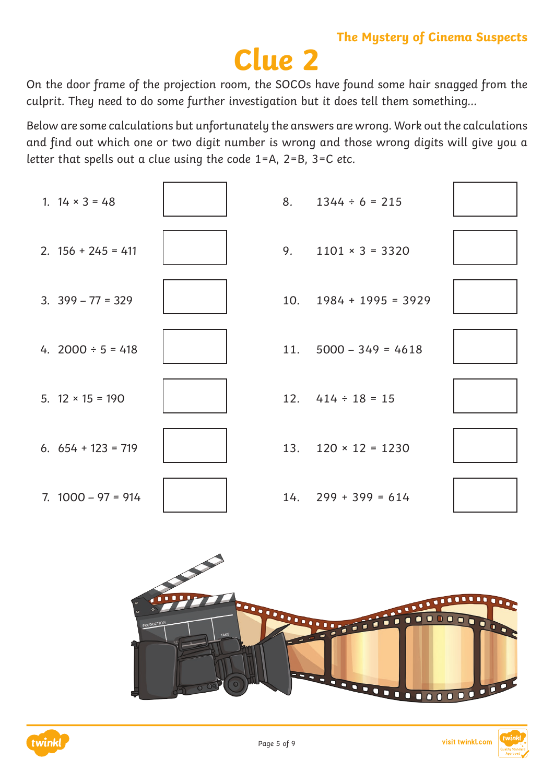# **Clue 2**

On the door frame of the projection room, the SOCOs have found some hair snagged from the culprit. They need to do some further investigation but it does tell them something…

Below are some calculations but unfortunately the answers are wrong. Work out the calculations and find out which one or two digit number is wrong and those wrong digits will give you a letter that spells out a clue using the code 1=A, 2=B, 3=C etc.







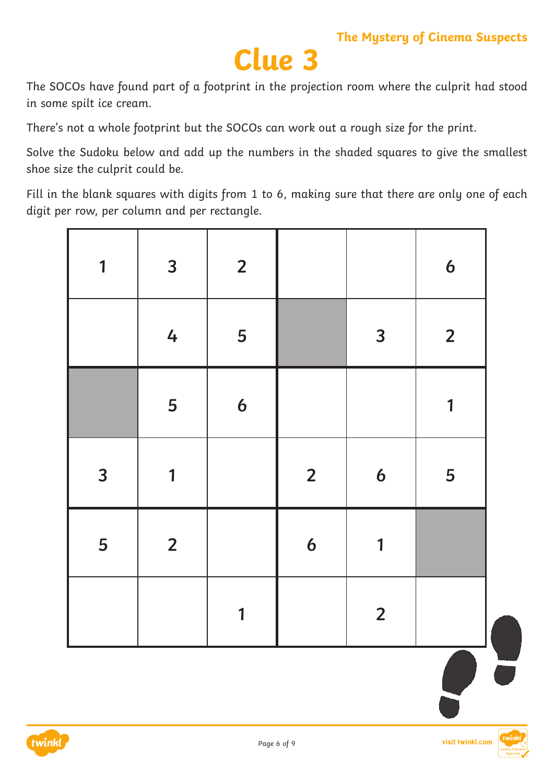# **Clue 3**

The SOCOs have found part of a footprint in the projection room where the culprit had stood in some spilt ice cream.

There's not a whole footprint but the SOCOs can work out a rough size for the print.

Solve the Sudoku below and add up the numbers in the shaded squares to give the smallest shoe size the culprit could be.

Fill in the blank squares with digits from 1 to 6, making sure that there are only one of each digit per row, per column and per rectangle.

| 1 | 3              | $\overline{\mathbf{2}}$ |                  |                  | $\boldsymbol{6}$ |
|---|----------------|-------------------------|------------------|------------------|------------------|
|   | $\frac{1}{4}$  | 5                       |                  | 3                | $\overline{2}$   |
|   | 5              | $\boldsymbol{6}$        |                  |                  | $\mathbf{1}$     |
| 3 | 1              |                         | $\overline{2}$   | $\boldsymbol{6}$ | 5                |
| 5 | $\overline{2}$ |                         | $\boldsymbol{6}$ | 1                |                  |
|   |                | $\mathbf{1}$            |                  | $\overline{2}$   |                  |



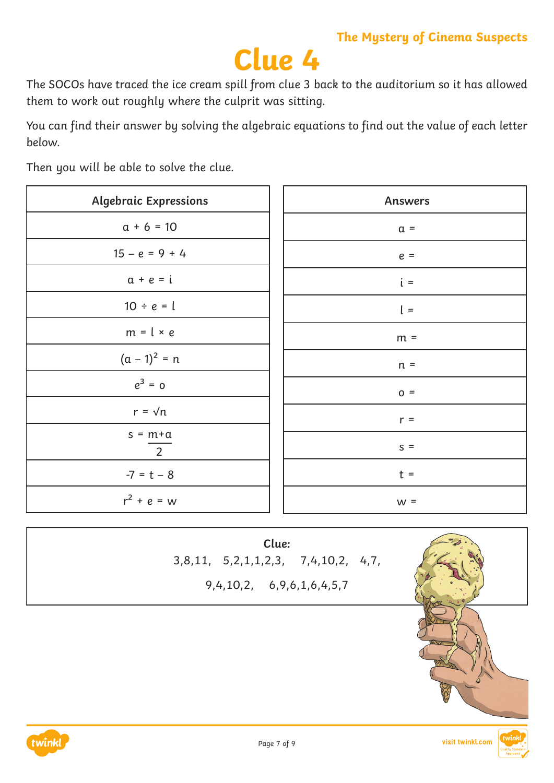# **Clue 4**

The SOCOs have traced the ice cream spill from clue 3 back to the auditorium so it has allowed them to work out roughly where the culprit was sitting.

You can find their answer by solving the algebraic equations to find out the value of each letter below.

Then you will be able to solve the clue.

| <b>Algebraic Expressions</b> | <b>Answers</b> |
|------------------------------|----------------|
| $a + 6 = 10$                 | $a =$          |
| $15 - e = 9 + 4$             | $e =$          |
| $a + e = i$                  | $i =$          |
| $10 \div e = 1$              | $l =$          |
| $m = l \times e$             | $m =$          |
| $(a - 1)^2 = n$              | $n =$          |
| $e^3 = 0$                    | $0 =$          |
| $r = \sqrt{n}$               | $r =$          |
| $s = m+a$<br>$\overline{2}$  | $S =$          |
| $-7 = t - 8$                 | $t =$          |
| $r^2 + e = w$                | $w =$          |



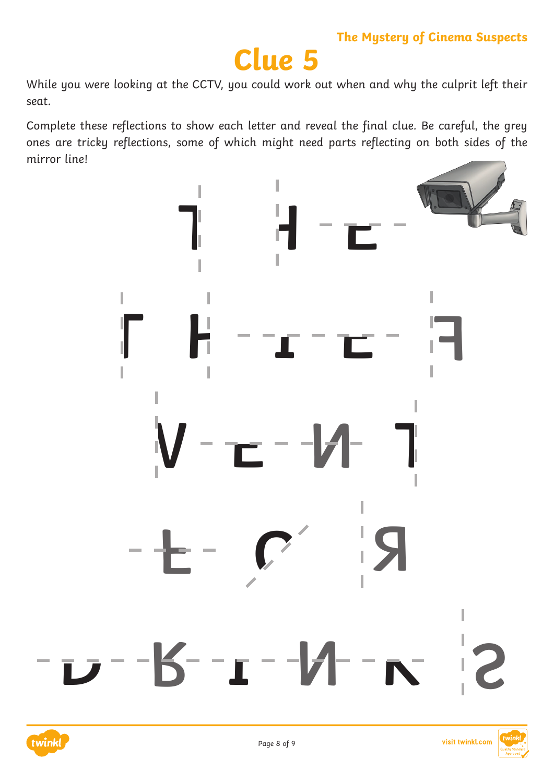# **Clue 5**

While you were looking at the CCTV, you could work out when and why the culprit left their seat.

Complete these reflections to show each letter and reveal the final clue. Be careful, the grey ones are tricky reflections, some of which might need parts reflecting on both sides of the mirror line!



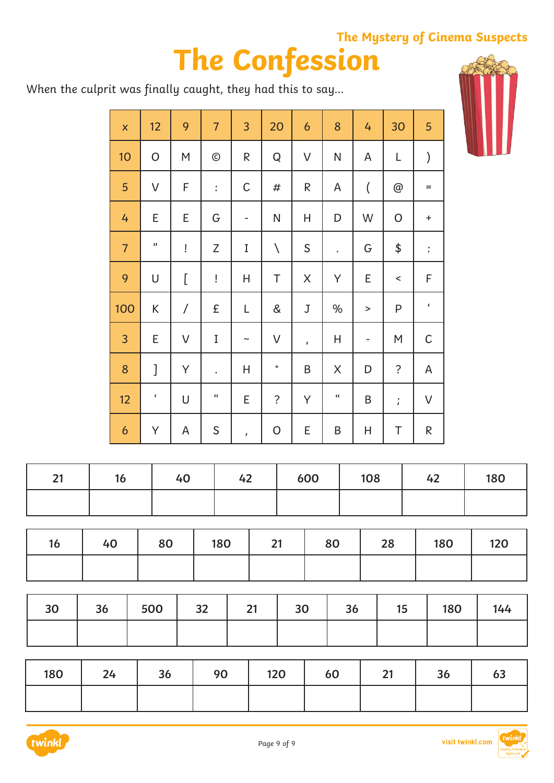# **The Confession**

When the culprit was finally caught, they had this to say…

|                    | ٠                   | ╯                        | ╯<br>$\overline{\phantom{a}}$ | ╯                         |              |                  | ╯                                      |                          |              |                                  |  |
|--------------------|---------------------|--------------------------|-------------------------------|---------------------------|--------------|------------------|----------------------------------------|--------------------------|--------------|----------------------------------|--|
| $\pmb{\mathsf{X}}$ | 12                  | 9                        | $\overline{7}$                | 3                         | 20           | $\boldsymbol{6}$ | 8                                      | 4                        | 30           | 5                                |  |
| 10                 | ${\mathsf O}$       | M                        | $\odot$                       | ${\sf R}$                 | Q            | V                | N                                      | A                        | L            | $\big)$                          |  |
| $\sqrt{5}$         | $\vee$              | $\mathsf F$              | $\vdots$                      | $\mathsf C$               | $^{\#}$      | R                | A                                      | $\overline{\phantom{a}}$ | @            | $\quad =$                        |  |
| 4                  | Ε                   | Ε                        | G                             | $\overline{\phantom{0}}$  | $\mathsf{N}$ | Η                | D                                      | W                        | $\mathsf O$  | $\begin{array}{c} + \end{array}$ |  |
| $\overline{7}$     | $\boldsymbol{\eta}$ | ļ                        | Ζ                             | I                         | $\backslash$ | $\mathsf S$      | $\bullet$                              | G                        | \$           | $\ddot{\cdot}$                   |  |
| 9                  | U                   | Ĺ                        | ļ                             | Η                         | T            | $\sf X$          | Υ                                      | E                        | $\,<$        | F                                |  |
| 100                | K                   | $\overline{\phantom{a}}$ | £                             | L                         | $\&$         | J                | $\%$                                   | $\geq$                   | P            | $\pmb{\epsilon}$                 |  |
| $\mathbf{3}$       | E                   | V                        | I                             | $\widetilde{\phantom{m}}$ | V            | $\pmb{r}$        | Н                                      | $\qquad \qquad -$        | ${\sf M}$    | $\mathsf C$                      |  |
| $\bf 8$            | 1                   | Υ                        | $\bullet$                     | Н                         | $\star$      | B                | X                                      | D                        | $\tilde{?}$  | A                                |  |
| 12                 | ,                   | U                        | $\boldsymbol{\eta}$           | Ε                         | $\ddot{?}$   | Υ                | $\pmb{\mathfrak{c}}\pmb{\mathfrak{c}}$ | B                        | $\mathbf{r}$ | V                                |  |
| $\boldsymbol{6}$   | Υ                   | A                        | $\mathsf S$                   | $\pmb{\prime}$            | $\mathsf{O}$ | Ε                | B                                      | H                        | Τ            | $\mathsf R$                      |  |

| 21 | 16 | 40 | 42 | 600 | 108 | 42 | 180 |
|----|----|----|----|-----|-----|----|-----|
|    |    |    |    |     |     |    |     |

| 16 |  |  |  |  |
|----|--|--|--|--|
|    |  |  |  |  |

| 30 |  |  |  |  | 144 |
|----|--|--|--|--|-----|
|    |  |  |  |  |     |

| 180 | 24 | 36 | 90 | 120 | 60 | 21 | 36 | 63 |
|-----|----|----|----|-----|----|----|----|----|
|     |    |    |    |     |    |    |    |    |



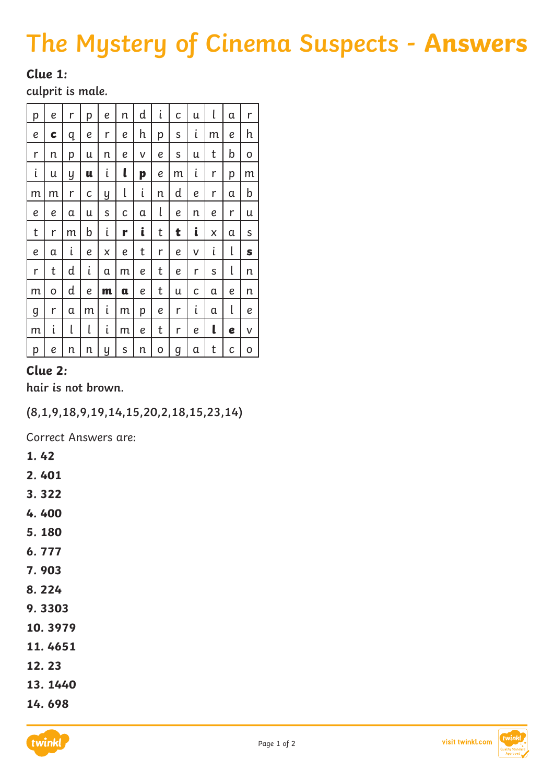# **The Mystery of Cinema Suspects - Answers**

## **Clue 1:**

**culprit is male.**

| р | е | r | р | е | n | d | i | C | u | l | α | r |
|---|---|---|---|---|---|---|---|---|---|---|---|---|
| е | C | q | е | r | е | h | р | S | i | m | е | h |
| r | n | р | u | n | e | V | е | S | u | t | b | 0 |
| i | u | y | u | i | ι | p | е | m | i | r | p | m |
| m | m | r | с | y | l | i | n | d | е | r | α | b |
| е | е | α | u | S | с | α | l | е | n | е | r | u |
| t | r | m | b | i | r | i | t | t | i | X | α | S |
| е | α | i | e | x | е | t | r | е | V | i | l | S |
| r | t | d | i | α | m | е | t | е | r | S | l | n |
| m | 0 | d | е | m | α | е | t | u | C | α | е | n |
| g | r | α | m | ι | m | p | е | r | i | α | l | е |
| m | i | l | l | i | m | е | t | r | е | ι | e | V |
| p | е | n | n | y | S | n | 0 | g | α | t | С | O |

#### **Clue 2:**

**hair is not brown.**

**(8,1,9,18,9,19,14,15,20,2,18,15,23,14)**

Correct Answers are:

- **1. 42**
- **2. 401**
- **3. 322**
- **4. 400**
- **5. 180**
- **6. 777**
- **7. 903**
- **8. 224**
- **9. 3303**
- **10. 3979**
- **11. 4651**
- **12. 23**
- **13. 1440**
- **14. 698**